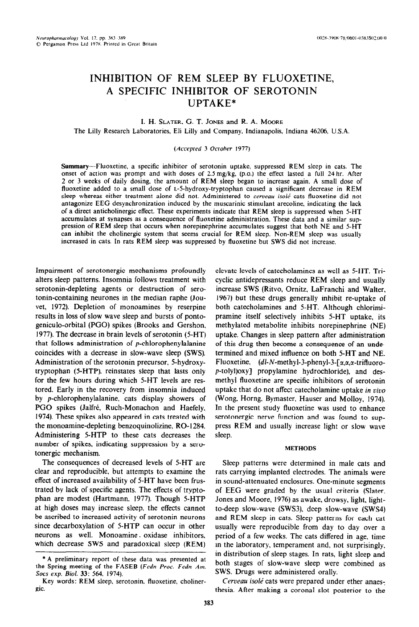# INHIBITION OF REM SLEEP BY FLUOXETINE, A SPECIFIC INHIBITOR OF SEROTONIN UPTAKE\*

# **I. H. SLATER, G. T. JONES and R. A. MOORE** The Lilly Research Laboratories. Eli Lilly and Company. Indianapolis. Indiana 46206, U.S.A.

# *(Accepted* 3 *October* 1977)

Summary-Fluoxetine, a specific inhibitor of serotonin uptake. suppressed REM sleep in cats. The onset of action was prompt and with doses of 2.5 mg/kg, (p.0.) the effect lasted a full 24 hr. After 2 or 3 weeks of daily dosing, the amount of REM sleep began to increase again. A small dose of fluoxetine added to a small dose of L-5-hydroxy-tryptophan caused a significant decrease in REM sleep whereas either treatment alone did not. Administered to *cerveau isolé* cats fluoxetine did not antagonize EEG desynchronization induced by the muscarinic stimulant arecoline, indicating the lack of a direct anticholinergic effect. These experiments indicate that REM sleep is suppressed when S-HT accumuiates at synapses as a consequence of fluoxetine administration. These data and a similar suppression of REM sleep that occurs when norepinephrine accumulates suggest that both NE and 5-HT can inhibit the cholinergic system that seems crucial for REM sleep. Non-REM sleep was usually increased in cats. In rats REM sleep was suppressed by fluoxetine but SWS did not increase,

Impairment of serotonergic mechanisms profoundly alters sleep patterns. Insomnia follows treatment with serotonin-depleting agents or destruction of serotonin-containing neurones in the median raphe (Jouvet, 1972). Depletion of monoamines by reserpine results in loss of slow wave sleep and bursts of pontogeniculo-orbital (PGO) spikes (Brooks and Gershon. 1977). The decrease in brain levels of serotonin (5-HT) that follows administration of p-chlorophenylalanine coincides with a decrease in slow-wave sleep (SWS). Administration of the serotonin precursor, 5-hydroxytryptophan (5-HTP). reinstates sleep that lasts only for the few hours during which 5-HT levels are restored. Early in the recovery from insomnia induced by p-chlorophenylalanine, cats display showers of PGO spikes (Jalfré, Ruch-Monachon and Haefely, 1974). These spikes also appeared in cats treated with the monoamine-depleting benzoquinolizine, RO-1284. Administering 5-HTP to these cats decreases the number of spikes, indicating suppression by a serotonergic mechanism.

The consequences of decreased levels of 5-HT are clear and reproducible, but attempts to examine the effect of increased availability of S-HT have been frustrated by lack of specific agents. The effects of tryptophan are modest (Hartmann. 1977). Though 5-HTP at high doses may increase sleep, the effects cannot be ascribed to increased activity of serotonin neurons since decarboxylation of 5-HTP can occur in other neurons as well. Monoamine. oxidase inhibitors, which decrease SWS and paradoxical sleep (REM)

elevate levels of catecholamines as well as 5-HT. Tricyclic antidepressants reduce REM sleep and usually increase SWS (Ritvo, Ornitz, LaFranchi and Walter. 1967) but these drugs generally inhibit re-uptake of both catecholamines and S-HT. Although chlorimipramine itself selectively inhibits S-HT uptake, its methylated metabolite inhibits norepinephrine (NE) uptake. Changes in sleep pattern after administration of this drug then become a consequence of an undetermined and mixed influence on both 5-HT and NE. Fluoxetine,  $(dl-N-methyl-3-phenyl-3-[ $\alpha$ , $\alpha$ , $\alpha$ -trifluoro$ p-tolyl)oxy] propylamine hydrochloride), and desmethyl fluoxetine are specific inhibitors of serotonin uptake that do not affect catecholamine uptake *in vivo*  (Wang, Horng. Bymaster, Hauser and Molloy, 1974). In the present study fluoxetine was used to enhance serotonergic nerve function and was found to suppress REM and usually increase light or slow wave sieep.

#### **METHODS**

Sleep patterns were determined in male cats and rats carrying implanted electrodes. The animals were in sound-attenuated enclosures. One-minute segments of EEG were graded by the usual criteria (Slater, Jones and Moore, 1976) as awake, drowsy, light, Iightto-deep slow-wave (SWS3), deep slow-wave (SWS4) and REM sleep in cats. Sleep patterns for each cat usually were reproducible from day to day over a period of a few weeks. The cats differed in age, time in the laboratory, temperament and, not surprisingly. in distribution of sleep stages. In rats, light sleep and both stages of slow-wave sleep were combined as SWS. Drugs were administered orally.

Cerveau *isolé* cats were prepared under ether anaesthesia. After making a coronal slot posterior to the

<sup>\*</sup> A preliminary report of these data was presented at the Spring meeting of the FASEB *(Fedn Proc. Fedn Am. Sots exp. Biol. 33: 564. 1974).* 

Key words: REM sleep, serotonin. fluoxetine, cholinergic.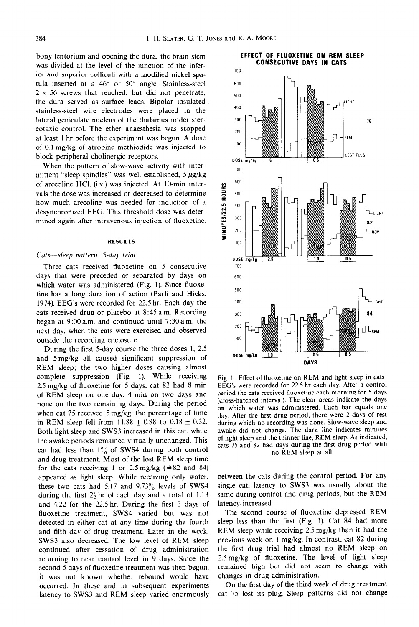bony tentorium and opening the dura, the brain stem was divided at the level of the junction of the inferior and superior colliculi with a modified nickel spatula inserted at a  $46^{\circ}$  or  $50^{\circ}$  angle. Stainless-steel  $2 \times 56$  screws that reached, but did not penetrate, the dura served as surface leads. Bipolar insulated stainless-steel wire electrodes were placed in the lateral geniculate nucleus of the thalamus under stereotaxic control. The ether anaesthesia was stopped at least I hr before the experiment was begun. A dose of 0.1 mg/kg of atropine methiodide was injected to block peripheral cholinergic receptors.

When the pattern of slow-wave activity with intermittent "sleep spindles" was well established,  $5 \mu g/kg$ of arecoline HCI, (i.v.) was injected. At IO-min intervals the dose was increased or decreased to determine how much arecoline was needed for induction of a desynchronized EEG. This threshold dose was determined again after intravenous injection of fluoxetine.

#### **RESULTS**

### Cats-sleep *pattern: 5-day trial*

Three cats received fluoxetine on 5 consecutive days that were preceded or separated by days on which water was administered (Fig. 1). Since fluoxetine has a long duration of action (Parli and Hicks, 1974), EEG's were recorded for 22.5 hr. Each day the cats received drug or placebo at 8:45 a.m. Recording began at 9:OOa.m. and continued until 7.30a.m. the next day, when the cats were exercised and observed outside the recording enclosure.

During the first 5-day course the three doses 1, 2.5 and Smg/kg all caused significant suppression of REM sleep; the two higher doses causing almost complete suppression (Fig. 1). While receiving 2.5 mg/kg of fluoxetine for 5 days, cat 82 had 8 min of REM sleep on one day, 4 min on two days and none on the two remaining days. During the period when cat 75 received 5 mg/kg. the percentage of time in REM sleep fell from 11.88  $\pm$  0.88 to 0.18  $\pm$  0.32. Both light sleep and SWS3 increased in this cat, while the awake periods remained virtually unchanged. This cat had less than  $1\%$  of SWS4 during both control and drug treatment. Most of the lost REM sleep time for the cats receiving 1 or  $2.5 \text{ mg/kg}$  (#82 and 84) appeared as light sleep. While receiving only water, these two cats had  $5.17$  and  $9.73\%$  levels of SWS4 during the first  $2\frac{1}{2}$  hr of each day and a total of 1.13 and 4.22 for the 22.5 hr. During the first 3 days of fluoxetine treatment, SWS4 varied but was not detected in either cat at any time during the fourth and fifth day of drug treatment. Later in the week, SWS3 also decreased. The low level of REM sleep continued after cessation of drug administration returning to near control level in 9 days. Since the second 5 days of fluoxetine treatment was then begun, it was not known whether rebound would have occurred. In these and in subsequent experiments latency to SWS3 and REM sleep varied enormously



Fig. I. Effect of fluoxetine on REM and light sleep in cats; EEG's were recorded for 22.5 hr each day. After a control period the cats received fluoxetine each morning for 5 days (cross-hatched interval). The clear areas indicate the days on which water was administered. Each bar equals one day. After the first drug period, there were 2 days of rest during which no recording was done. Slow-wave sleep and awake did not change. The dark line indicates minutes of light sleep and the thinner line, REM sleep. As indicated, cats 75 and 82 had days during the first drug period with no REM sleep at all.

between the cats during the control period. For any single cat, latency to SWS3 was usually about the same during control and drug periods, but the REM latency increased.

The second course of fluoxetine depressed REM sleep less than the first (Fig. 1). Cat 84 had more REM sleep while receiving 2.5 mg/kg than it had the previous week on 1 mg/kg. In contrast, cat 82 during the first drug trial had almost no REM sleep on 2.5 mg/kg of fluoxetine. The level of light sleep remained high but did not seem to change with changes in drug administration.

On the first day of the third week of drug treatment cat 75 lost its plug. Sleep patterns did not change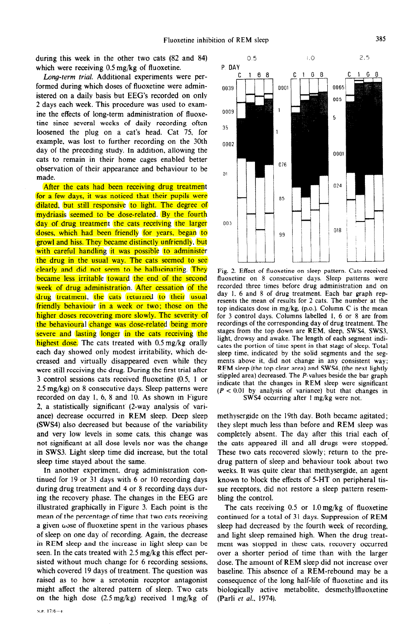during this week in the other two cats (82 and 84) which were receiving 0.5 mg/kg of fluoxetine.

Long-term *trial.* Additional experiments were performed during which doses of fluoxetine were administered on a daily basis but EEG's recorded on only 2 days each week. This procedure was used to examine the effects of long-term administration of fluoxetine since several weeks of daily recording often loosened the plug on a cat's head. Cat 75. for example, was lost to further recording on the 30th day of the preceding study. In addition, allowing the cats to remain in their home cages enabled better observation of their appearance and behaviour to be made.

After the cats had been receiving drug treatment for a few days, it was noticed that their pupils were dilated, but still responsive to light. The degree of mydriasis seemed to be dose-related. By the fourth day of drug treatment the cats receiving the larger doses, which had been friendly for years, began to growl and hiss. They became distinctly unfriendly, but with careful handling it was possible to administer the drug in the usual way. The cats seemed to see clearly and did not seem to be hallucinating. They became less irritable toward the end of the second week of drug administration. After cessation of the drug treatment, the cats returned to their usual friendly behaviour in a week or two; those on the higher doses recovering more slowly. The severity of the behavioural change was dose-related being more severe and lasting longer in the cats receiving the highest dose. The cats treated with 0.5 mg/kg orally each day showed only modest irritability, which decreased and virtually disappeared even while they were still receiving the drug. During the first trial after 3 control sessions cats received fluoxetine (0.5, 1 or 2.5 mg/kg) on 8 consecutive days. Sleep patterns were recorded on day 1, 6, 8 and 10. As shown in Figure 2, a statistically significant (2-way analysis of variance) decrease occurred in REM sleep. Deep sleep (SWS4) also decreased but because of the variability and very low levels in some cats, this change was not significant at all dose levels nor was the change in SWS3. Light sleep time did increase, but the total sleep time stayed about the same.

In another experiment. drug administration continued for 19 or 31 days with 6 or 10 recording days during drug treatment and 4 or 8 recording days during the recovery phase. The changes in the EEG are illustrated graphically in Figure 3. Each point is the mean of the percentage of time that two cats receiving a given  $\omega$ se of fluoxetine spent in the various phases of sleep on one day of recording. Again, the decrease in REM sleep and the increase in light sleep can be seen. In the cats treated with 2.5 mg/kg this effect persisted without much change for 6 recording sessions, which covered 19 days of treatment. The question was raised as to how a serotonin receptor antagonist might affect the altered pattern of sleep. Two cats on the high dose  $(2.5 \text{ mg/kg})$  received  $1 \text{ mg/kg}$  of



Fig. 2. Effect of fluoxetine on sleep pattern. Cats received fluoxetine on 8 consecutive days. Sleep patterns were recorded three times before drug administration and on day 1, 6 and 8 of drug treatment. Each bar graph represents the mean of results for 2 cats. The number at the top indicates dose in mg/kg, (p.0.). Column C is the mean for 3 control days. Columns labelled 1, 6 or 8 are from recordings of the corresponding day of drug treatment. The stages from the top down are REM, sleep. SWS4, SWS3, light, drowsy and awake. The length of each segment indicates the portion of time spent in that stage of sleep. Total sleep time, indicated by the solid segments and the segments above it, did not change in any consistent way; REM sleep (the top clear area) and SWS4, (the next lightly stippled area) decreased. The P-values beside the bar graph indicate that the changes in REM sleep were significant  $(P < 0.01$  by analysis of variance) but that changes in SWS4 occurring after I mg/kg were not.

methysergide on the 19th day. Both became agitated; they slept much less than before and REM sleep was completely absent. The day after this trial each of the cats appeared ill and all drugs were stopped.' These two cats recovered slowly; return to the predrug pattern of sleep and behaviour took about two weeks, It was quite clear that methysergide, an agent known to block the effects of 5-HT on peripheral tissue receptors, did not restore a sleep pattern resembling the control.

The cats receiving  $0.5$  or  $1.0 \text{ mg/kg}$  of fluoxetine continued for a total of 31 days. Suppression of REM sleep had decreased by the fourth week of recording, and light sleep remained high. When the drug treatment was stopped in these cats, recovery occurred over a shorter period of time than with the larger dose. The amount of REM sleep did not increase over baseline. This absence of a REM-rebound may be a consequence of the long half-life of fluoxetine and its biologically active metabolite, desmethylfluoxetine (Parli et al., 1974).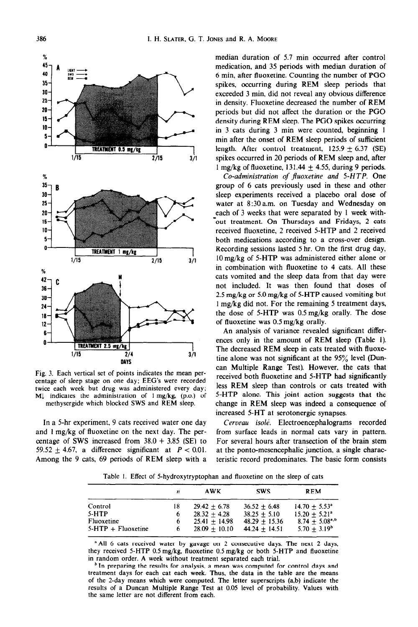

Fig. **3.** Each vertical set of points indicates the mean percentage of sleep stage on one day; EEG's were **recorded**  twice each week but drug was administered every day; Ml indicates the administration of 1 mg/kg, (p.0.) of methysergide which blocked SWS and REM sleep.

median duration of 5.7 min occurred after control medication, and 35 periods with median duration of 6 min, after fluoxetine. Counting the number of PGO spikes, occurring during REM sleep periods that exceeded 3 min, did not reveal any obvious difference in density. Fluoxetine decreased the number of REM periods but did not affect the duration or the PGO density during REM sleep. The PGO spikes occurring in 3 cats during 3 min were counted, beginning 1 min after the onset of REM sleep periods of sufficient length. After control treatment,  $125.9 \pm 6.37$  (SE) spikes occurred in 20 periods of REM sleep and, after 1 mg/kg of fluoxetine,  $131.44 + 4.55$ , during 9 periods.

*Co-administration of jhoxetine and 5-HTP.* One group of 6 cats previously used in these and other sleep experiments received a placebo oral dose of water at 8.30a.m. on Tuesday and Wednesday on each of 3 weeks that were separated by 1 week with- 'out treatment. On Thursdays and Fridays, 2 cats received fluoxetine, 2 received 5-HTP and 2 received both medications according to a cross-over design. Recording sessions lasted 5 hr. On the first drug day, lOmg/kg of 5-HTP was administered either alone or in combination with fluoxetine to 4 cats. All these cats vomited and the sleep data from that day were not included. It was then found that doses of 2.5 mg/kg or 5.0 mg/kg of 5-HTP caused vomiting but 1 mg/kg did not. For the remaining 5 treatment days, the dose of 5-HTP was 0.5 mg/kg orally. The dose of fluoxetine was 0.5 mg/kg orally.

An analysis of variance revealed significant differences only in the amount of REM sleep (Table 1). The decreased REM sleep in cats treated with fluoxetine alone was not significant at the 95% level (Duncan Multiple Range Test). However, the cats that received both fluoxetine and 5-HTP had significantly less REM sleep than controls or cats treated with 5-HTP alone. This joint action suggests that the change in REM sleep was indeed a consequence of increased 5-HT at serotonergic synapses.

In a 5-hr experiment, 9 cats received water one day *Cerveau isolé*. Electroencephalograms recorded and 1 mg/kg of fluoxetine on the next day. The per- from surface leads in normal cats vary in pattern. centage of SWS increased from  $38.0 \pm 3.85$  (SE) to For several hours after transection of the brain stem 59.52  $\pm$  4.67, a difference significant at  $P < 0.01$ . at the ponto-mesencephalic junction, a single charac-Among the 9 cats, 69 periods of REM sleep with a teristic record predominates. The basic form consists

Table 1. Effect of 5-hydroxytryptophan and fluoxetine on the sleep of cats

| n  | <b>AWK</b>      | <b>SWS</b>      | <b>REM</b>                  |  |
|----|-----------------|-----------------|-----------------------------|--|
| 18 | $29.42 + 6.78$  | $36.52 + 6.48$  | $14.70 + 5.53$ <sup>a</sup> |  |
| 6  | $28.32 + 4.28$  | $38.25 + 5.10$  | $15.20 + 5.21^{\circ}$      |  |
| 6  | $25.41 + 14.98$ | $48.29 + 15.36$ | $8.74 + 5.08^{a,b}$         |  |
|    | $28.09 + 10.10$ | $44.24 + 14.51$ | $5.70 + 3.19^b$             |  |
|    |                 |                 |                             |  |

<sup>a</sup> All 6 cats received water by gavage on 2 consecutive days. The next 2 days, they received 5-HTP 0.5 mg/kg, fluoxetine 0.5 mg/kg or both 5-HTP and Ruoxetine in random order. A week without treatment separated each trial.

 $<sup>b</sup>$  In preparing the results for analysis, a mean was computed for control days and</sup> treatment days for each cat each week. Thus, the data in the table are the means of the 2-day means which were computed. The letter superscripts (a,b) indicate the results of a Duncan Multiple Range Test at 0.05 level of probability. Values with the same letter are not different from each.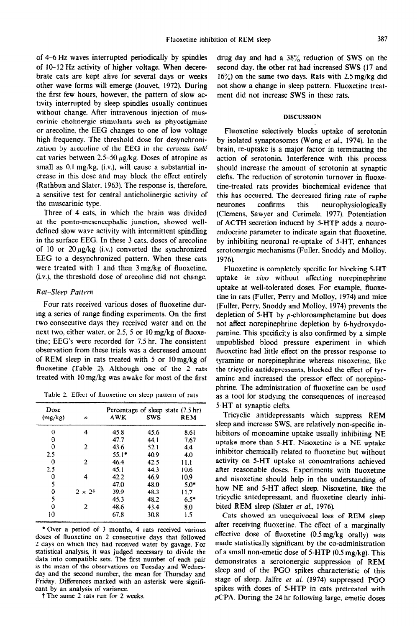of  $4-6$  Hz waves interrupted periodically by spindles of 10-12 Hz activity of higher voltage. When decerebrate cats are kept alive for several days or weeks other wave forms will emerge (Jouvet, 1972). During the first few hours, however, the pattern of slow activity interrupted by sleep spindles usually continues without change. After intravenous injection of muscarinic cholinergic stimulants such as phyostigmine or arecotine, the EEG changes to one of low voltage high frequency. The threshold dose for desynchronization by arecoline of the EEG in the *cerveau* isolé cat varies between  $2.5-50 \mu g/kg$ . Doses of atropine as small as  $0.1 \text{ mg/kg}$ , (i.v.), will cause a substantial increase in this dose and may block the effect entirely (Rathbun and Slater, 1963). The response is, therefore. a sensitive test for central antichoiinergic activity of the muscarinic type.

Three of 4 cats, in which the brain was divided at the ponto-mescncephalic junction, showed welldefined slow wave activity with intermittent spindling in the surface EEG. In these 3 cats, doses of arecoline of 10 or 20  $\mu$ g/kg (i.v.) converted the synchronized EEG to a desynchronized pattern. When these cats were treated with 1 and then 3mg/kg of fluoxetine,  $(i.v.)$ , the threshold dose of arecoline did not change.

## Rat-Sleep Pattern

Four rats received various doses of fluoxetine during a series of range finding experiments. On the first two consecutive days they received water and on the next two, either water, or 2.5, 5 or lOmg/kg of fluoxetine; EEG's were recorded for 7.5 hr. The consistent observation from these trials was a decreased amount of REM sleep in rats treated with 5 or  $10 \text{ mg/kg}$  of fluoxetine (Table 2). Although one of the 2 rats treated with 10 mg/kg was awake for most of the first

Table 2. Effect of fluoxetine on sleep pattern of rats

| Dose<br>(mg/kg) | n              | AWK     | Percentage of sleep state (7.5 hr)<br><b>SWS</b> | <b>REM</b> |
|-----------------|----------------|---------|--------------------------------------------------|------------|
| 0               | 4              | 45.8    | 45.6                                             | 8.61       |
| 0               |                | 47.7    | 44.1                                             | 7.67       |
| 0               | 2              | 43.6    | 52.1                                             | 4.4        |
| 2.5             |                | $55.1*$ | 40.9                                             | 4.0        |
| 0               | 2              | 46.4    | 42.5                                             | 11.1       |
| 2.5             |                | 45.1    | 44.3                                             | 10.6       |
| 0               | 4              | 42.2    | 46.9                                             | 10.9       |
| 5               |                | 47.0    | 48.0                                             | 5.0*       |
| 0               | $2 \times 2^+$ | 39.9    | 48.3                                             | 11.7       |
| 5               |                | 45.3    | 48.2                                             | $6.5*$     |
| $\mathbf 0$     | 2              | 48.6    | 43.4                                             | 8.0        |
| 10              |                | 67.8    | 30.8                                             | 1.5        |
|                 |                |         |                                                  |            |

\*Over a period of 3 months, 4 rats received various doses of fluoxetine on 2 consecutive days that followed 2 days on which they had received water by gavage. For statistical analysis, it was judged necessary to divide the data into compatible sets. The first number of each pair is the mean of the observations on Tuesday and Wednesday and the second number, the mean for Thursday and Friday. Differences marked with *an* asterisk were signiticant by an analysis of variance.

t **The** same 2 rats run for 2 weeks.

drug day and had a  $38\%$  reduction of SWS on the second day. the other rat had increased SWS (17 and  $16\%$ ) on the same two days. Rats with 2.5 mg/kg did not show a change in sleep pattern. Fluoxetine treatment did not increase SWS in these rats.

#### **DISCUSSION**

Fluoxetine selectively blocks uptake of serotonin by isolated synaptosomes (Wong et al., 1974). In the brain, re-uptake is a major factor in terminating the action of serotonin. Interference with this process should increase the amount of serotonin at synaptic clefts. The reduction of serotonin turnover in fluoxetine-treated rats provides biochemical evidence that this has occurred, The decreased firing rate of raphe neurones confirms this neurophysiologically (Clemens, Sawyer and Cerimele, 1977). Potentiation of ACTH secretion induced by S-HTP adds a neuroendocrine parameter to indicate again that fluoxetine, by inhibiting neuronal re-uptake of 5-HT, enhances serotonergic mechanisms (Fuller, Snoddy and Molloy. 1976).

Fluoxetine is completely specific for blocking S-HT uptake in vivo without affecting norepinephrine uptake at well-tolerated doses. For example, fluaxetine in rats (Fuller, Perry and Molioy, 1974) and mice (Fuller, Perry, Snoddy and Moiloy, 1974) prevents the depletion of 5-HT by p-chloroamphetamine but does not affect norepinephrine depletion by 6-hydroxydopamine. This specificity is also confirmed by a simple unpublished blood pressure experiment in which fluoxetine had little effect on the pressor response to tyramine or norepinephrine whereas nisoxetine, like the tricyclic antidepressants, blocked the effect of tyramine and increased the pressor effect of norepinephrine. The administration of fluoxetine can be used as a tool for studying the consequences of increased 5-HT at synaptic clefts.

Tricyclic antidepressants which suppress REM sleep and increase SWS, are relatively non-specific inhibitors of monoamine uptake usually inhibiting NE uptake more than 5-HT. Nisoxetine is a NE uptake inhibitor chemically related to fluoxetine but without activity on S-HT uptake at concentrations achieved after reasonable doses. Experiments with fluoxetine and nisoxetine should help in the understanding of how NE and 5-HT affect sleep. Nisoxetine, like the tricyclic antedepressant, and fluoxetine clearly inhibited REM sleep (Slater et al., 1976).

Cats showed an unequivocal loss of REM sfeep after receiving fluoxetine. The effect of a marginaliy effective dose of fluoxetine  $(0.5 \text{ mg/kg}$  orally) was made statistically significant by the co-administration of a small non-emetic dose of 5-HTP  $(0.5 \text{ mg/kg})$ . This demonstrates a serotonergic suppression of REM sleep and of the PGO spikes characteristic of this stage of sleep. Jalfre et al.  $(1974)$  suppressed PGO spikes with doses of 5-HTP in cats pretreated with pCPA. During the 24 hr following large, emetic doses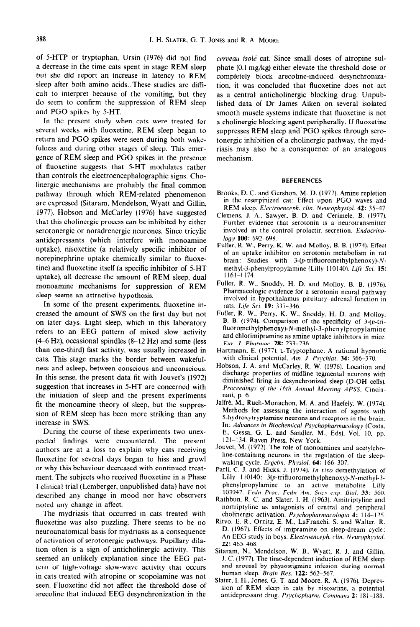of 5-HTP or tryptophan, Ursin (1976) did not find *cerveau isolé* cat. Since small doses of atropine sul-<br>a decrease in the time cats spent in stage REM sleep phate (0.1 mg/kg) either elevate the threshold dose or a decrease in the time cats spent in stage REM sleep phate (0.1 mg/kg) either elevate the threshold dose or but she did report an increase in latency to REM completely block arecoline-induced desynchronizabut she did report an increase in latency to REM completely block arecoline-induced desynchroniza-<br>sleep after both amino acids. These studies are diffi-<br>ion, it was concluded that fluoxetine does not act cult to interpret because of the vomiting, but they as a central anticholinergic blocking drug. Unpubdo seem to confirm the suppression of REM sleep lished data of Dr James Aiken on several isolated<br>and PGO spikes by 5-HT.<br>smooth muscle systems indicate that fluoxetine is not

several weeks with fluoxetine, REM sleep began to suppresses REM sleep and PGO spikes through sero-<br>return and PGO spikes were seen during both wake- tonergic inhibition of a cholinergic pathway, the mydreturn and PGO spikes were seen during both wake-<br>fulness and during other stages of sleep. This emer- riasis may also be a consequence of an analogous gence of REM sleep and PGO spikes in the presence mechanism. of fluoxetine suggests that S-HT modulates rather than controls the electroencephalographic signs. Cholinergic mechanisms are probably the final common pathway through which REM-related phenomenon Brooks, D. C. and Gershon. M. D. (1977). Amine repletion<br>are expressed (Sitaram Mendelson Wuatt and Gillin) in the reserpinized cat: Effect upon PGO waves and are expressed (Sitaram, Mendelson, Wyatt and Gillin, 1977). Hobson and McCarley (1976) have suggested that this cholinergic process can be inhibited by either serotonergic or noradrenergic neurones. Since tricylic involved in the control provides in the control provides i<br> **Entimately** 100: 692-698. antidepressants (which interfere with monoamine uptake), nisoxetine (a relatively specific inhibitor of norepinephrine uptake chemically similar to fluoxetine) and fluoxetine itself (a specific inhibitor of 5-HT methyl-3-phenylpropylamine (Lilly 110140). Life Sci. 15:<br>untake) all decrease the amount of REM sleep dual  $1161-1174$ . uptake), all decrease the amount of REM sleep, dual  $\frac{1161-1174}{1161-1174}$ .<br>monoamine, mechanisms, for suppression of REM Fuller, R. W., Snoddy, H. D. and Molloy, B. B. (1976). monoamine mechanisms for suppression of REM sleep seems an attractive hypothesis.

In some of the present experiments, fluoxetine in-<br>creased the amount of SWS on the first day but not on later days. Light sleep, which in this laboratory B. B. (1974). Comparison of the specificity of 3-(p-tri-<br>refers to an EEG pottern of mixed along activity fluoromethylphenoxy)-N-methyl-3-phenylpropylamine refers to an EEG pattern of mixed slow activity  $(4-6 Hz)$ , occasional spindles  $(8-12 Hz)$  and some (less than one-third) fast activity, was usually increased in Hartmann, E. (1977). L-Tryptophane: A rational hypnotic cats. This stage marks the border between wakeful-<br>with clinical potential. Am. J. Psychiat. 34: 366–370. cats. This stage marks the border between wakeful-<br>ness and asleen between conscious and unconscious. Hobson, J. A. and McCarley, R. W. (1976). Location and ness and asleep, between conscious and unconscious. In this sense, the present data fit with Jouvet's (1972) suggestion that increases in 5-HT are concerned with the initiation of sleep and the present experiments fit the monoamine theory of sleep, but the suppression of REM sleep has been more striking than any increase in SWS.

During the course of these experiments two unexpected findings were encountered. The present  $121-134$ . Raven Press, New York. authors are at a loss to explain why cats receiving. fluoxetine for several days began to hiss and growl or why this behaviour decreased with continued treatment. The subjects who received fluoxetine in a Phase I clinical trial (Lemberger, unpublished data) have not phenylpropylamine to an active metabolite—Lilly described any change in mood nor have observers 103947. Fedn Proc. Fedn Am. Socs exp. Biol. 33: 560. described any change in mood nor have observers noted any change in affect.

The mydriasis that occurred in cats treated with fluoxetine was also puzzling. There seems to be no Ritvo, E. R., Ornitz, E. M., LaFranchi, S. and Walter, R. neuroanatomical basis for mydriasis as a consequence D. (1967). Effects of imipramine on sleep-dream cycle: neuroanatomical basis for mydriasis as a consequence of activation of serotonergic pathways. Pupillary dilation often is a sign of anticholinergic activity. This seemed an unlikely explanation since the EEG pat-<br>term of high-voltage slow-wave activity that occurs and arousal by physostigmine infusion during normal tern of high-voltage slow-wave activity that occurs in cats treated with atropine or scopolamine was not seen. Fluoxetine did not affect the threshold dose of arecoline that induced EEG desynchronization in the

tion, it was concluded that fluoxetine does not act and PGO spikes by 5-HT.<br>In the present study when cats were treated for a cholinergic blocking agent peripherally. If fluoxetine In the present study when cats were treated for a cholinergic blocking agent peripherally. If fluoxetine several weeks with fluoxetine, REM sleep began to suppresses REM sleep and PGO spikes through seroriasis may also be a consequence of an analogous

### **REFERENCES**

- REM sleep. *Electroenceph. c/in. Neurophysioi. 42: 35-47.*
- Clemens. J. A., Sawyer. B. D. and Cerimeie. B. (1977). Further evidence that serotonin is a neurotransmitter involved in the control prolactin secretion. *Endocrino*-
- Fuller, R. W., Perry, K. W. and Molloy, B. B. (1974). Effect of an uptake inhibitor on serotonin metabolism in rat brain: Studies with 3- $(p$ -trifluoromethylphenoxy)- $N-$
- Pharmacologic evidence for a serotonin neural pathway involved in hypothalamus-pituitary-adrenal function in rats. *Life Sci.* 19: 337-346.
- Fuller, R. W., Perry, K. W., Snoddy, H. D. and Molloy.<br>B. B. (1974). Comparison of the specificity of 3-(p-triand chiorimipramine as amine uptake inhibitors in mice. Eur. *J. Pharmac.* **28:** 233-236.
- 
- discharge properties of midline tegmentai neurons with diminished firing in desynchronized sleep (D-OH ceils). Proceedings of the 16th Annual Meeting APSS. Cincinnati, p. 6.<br>Jalfré, M., Ruch-Monachon, M. A. and Haefely, W. (1974).
- Methods for assessing the interaction of agents with 5-hydroxytryptamine neurons and receptors in the brain. In: *Advances in Biochemical Psychopharmacology* (Costa. E., Gessa, G. L. and Sandler, M., Eds), Vol. 10, pp.
- line-containing neurons in the regulation of the sieepwaking cycle. *Ergehn. Physiol. 64: 166-307.*
- Parii, C. J. and Hicks, J. (1974). In *viuo* demethyiation of Lilly 1 10140: 3(p-trjfluoromethyiphenoxy)-N-methyl-3-
- Rathbun, R. C. and Slater, I. H. (1963). Amitriptyline and nortriptyiine as antagonists of central and peripheral
- cholinergic activation. *Psychopharmacologia* 4: 114-125.<br>Ritvo, E. R., Ornitz, E. M., LaFranchi, S. and Walter, R. An EEG study in boys. *Electroenceph. clin. Neurophysiol. 22: 465468.*
- Sitaram, N., Mendelson, W. B., Wyatt, R. J. and Gillin, J. C. (1977). The time-dependent induction of REM sleep human sleep. Brain *Res.* 122: 562-567.
- Siater, I. H., Jones, G. T. and Moore, R. A. (1976). Depression of REM sleep in cats by nisoxetine, a potential anttdcpressant drug. *Psychopharm. Communs* **2: I81 -188.**